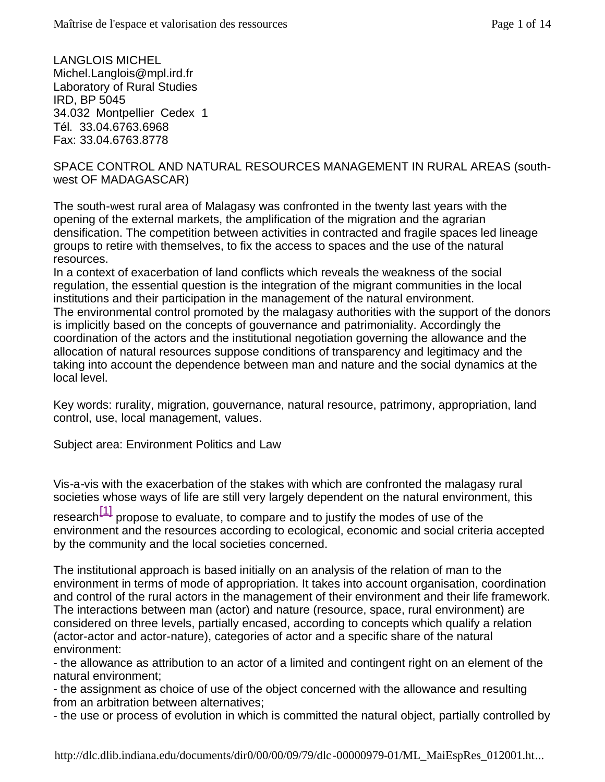LANGLOIS MICHEL Michel.Langlois@mpl.ird.fr Laboratory of Rural Studies IRD, BP 5045 34.032 Montpellier Cedex 1 Tél. 33.04.6763.6968 Fax: 33.04.6763.8778

# SPACE CONTROL AND NATURAL RESOURCES MANAGEMENT IN RURAL AREAS (southwest OF MADAGASCAR)

The south-west rural area of Malagasy was confronted in the twenty last years with the opening of the external markets, the amplification of the migration and the agrarian densification. The competition between activities in contracted and fragile spaces led lineage groups to retire with themselves, to fix the access to spaces and the use of the natural resources.

In a context of exacerbation of land conflicts which reveals the weakness of the social regulation, the essential question is the integration of the migrant communities in the local institutions and their participation in the management of the natural environment. The environmental control promoted by the malagasy authorities with the support of the donors is implicitly based on the concepts of gouvernance and patrimoniality. Accordingly the coordination of the actors and the institutional negotiation governing the allowance and the allocation of natural resources suppose conditions of transparency and legitimacy and the taking into account the dependence between man and nature and the social dynamics at the local level.

Key words: rurality, migration, gouvernance, natural resource, patrimony, appropriation, land control, use, local management, values.

Subject area: Environment Politics and Law

Vis-a-vis with the exacerbation of the stakes with which are confronted the malagasy rural societies whose ways of life are still very largely dependent on the natural environment, this

research $^{[1]}$  propose to evaluate, to compare and to justify the modes of use of the environment and the resources according to ecological, economic and social criteria accepted by the community and the local societies concerned.

The institutional approach is based initially on an analysis of the relation of man to the environment in terms of mode of appropriation. It takes into account organisation, coordination and control of the rural actors in the management of their environment and their life framework. The interactions between man (actor) and nature (resource, space, rural environment) are considered on three levels, partially encased, according to concepts which qualify a relation (actor-actor and actor-nature), categories of actor and a specific share of the natural environment:

- the allowance as attribution to an actor of a limited and contingent right on an element of the natural environment;

- the assignment as choice of use of the object concerned with the allowance and resulting from an arbitration between alternatives;

- the use or process of evolution in which is committed the natural object, partially controlled by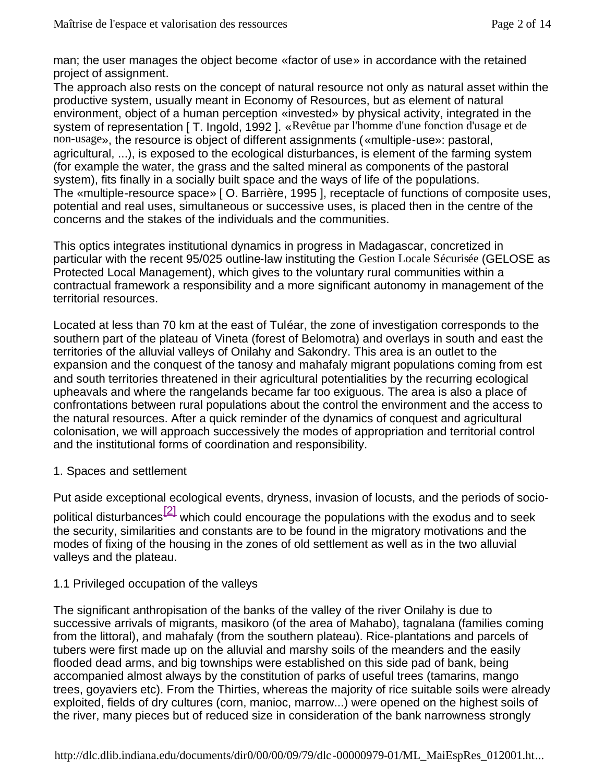man; the user manages the object become «factor of use» in accordance with the retained project of assignment.

The approach also rests on the concept of natural resource not only as natural asset within the productive system, usually meant in Economy of Resources, but as element of natural environment, object of a human perception «invested» by physical activity, integrated in the system of representation [ T. Ingold, 1992 ]. «Revêtue par l'homme d'une fonction d'usage et de non-usage», the resource is object of different assignments («multiple-use»: pastoral, agricultural, ...), is exposed to the ecological disturbances, is element of the farming system (for example the water, the grass and the salted mineral as components of the pastoral system), fits finally in a socially built space and the ways of life of the populations. The «multiple-resource space» [ O. Barrière, 1995 ], receptacle of functions of composite uses, potential and real uses, simultaneous or successive uses, is placed then in the centre of the concerns and the stakes of the individuals and the communities.

This optics integrates institutional dynamics in progress in Madagascar, concretized in particular with the recent 95/025 outline-law instituting the Gestion Locale Sécurisée (GELOSE as Protected Local Management), which gives to the voluntary rural communities within a contractual framework a responsibility and a more significant autonomy in management of the territorial resources.

Located at less than 70 km at the east of Tuléar, the zone of investigation corresponds to the southern part of the plateau of Vineta (forest of Belomotra) and overlays in south and east the territories of the alluvial valleys of Onilahy and Sakondry. This area is an outlet to the expansion and the conquest of the tanosy and mahafaly migrant populations coming from est and south territories threatened in their agricultural potentialities by the recurring ecological upheavals and where the rangelands became far too exiguous. The area is also a place of confrontations between rural populations about the control the environment and the access to the natural resources. After a quick reminder of the dynamics of conquest and agricultural colonisation, we will approach successively the modes of appropriation and territorial control and the institutional forms of coordination and responsibility.

1. Spaces and settlement

Put aside exceptional ecological events, dryness, invasion of locusts, and the periods of socio-

political disturbances $^{[2]}$  which could encourage the populations with the exodus and to seek the security, similarities and constants are to be found in the migratory motivations and the modes of fixing of the housing in the zones of old settlement as well as in the two alluvial valleys and the plateau.

### 1.1 Privileged occupation of the valleys

The significant anthropisation of the banks of the valley of the river Onilahy is due to successive arrivals of migrants, masikoro (of the area of Mahabo), tagnalana (families coming from the littoral), and mahafaly (from the southern plateau). Rice-plantations and parcels of tubers were first made up on the alluvial and marshy soils of the meanders and the easily flooded dead arms, and big townships were established on this side pad of bank, being accompanied almost always by the constitution of parks of useful trees (tamarins, mango trees, goyaviers etc). From the Thirties, whereas the majority of rice suitable soils were already exploited, fields of dry cultures (corn, manioc, marrow...) were opened on the highest soils of the river, many pieces but of reduced size in consideration of the bank narrowness strongly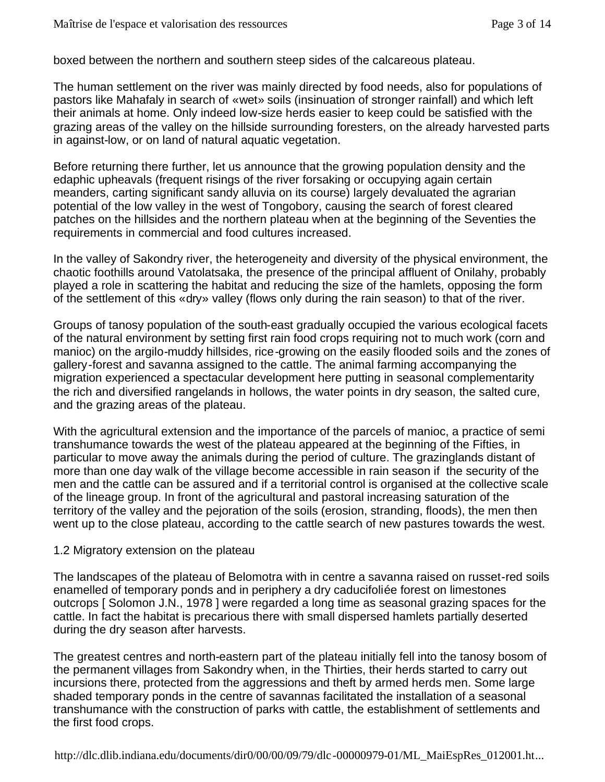boxed between the northern and southern steep sides of the calcareous plateau.

The human settlement on the river was mainly directed by food needs, also for populations of pastors like Mahafaly in search of «wet» soils (insinuation of stronger rainfall) and which left their animals at home. Only indeed low-size herds easier to keep could be satisfied with the grazing areas of the valley on the hillside surrounding foresters, on the already harvested parts in against-low, or on land of natural aquatic vegetation.

Before returning there further, let us announce that the growing population density and the edaphic upheavals (frequent risings of the river forsaking or occupying again certain meanders, carting significant sandy alluvia on its course) largely devaluated the agrarian potential of the low valley in the west of Tongobory, causing the search of forest cleared patches on the hillsides and the northern plateau when at the beginning of the Seventies the requirements in commercial and food cultures increased.

In the valley of Sakondry river, the heterogeneity and diversity of the physical environment, the chaotic foothills around Vatolatsaka, the presence of the principal affluent of Onilahy, probably played a role in scattering the habitat and reducing the size of the hamlets, opposing the form of the settlement of this «dry» valley (flows only during the rain season) to that of the river.

Groups of tanosy population of the south-east gradually occupied the various ecological facets of the natural environment by setting first rain food crops requiring not to much work (corn and manioc) on the argilo-muddy hillsides, rice-growing on the easily flooded soils and the zones of gallery-forest and savanna assigned to the cattle. The animal farming accompanying the migration experienced a spectacular development here putting in seasonal complementarity the rich and diversified rangelands in hollows, the water points in dry season, the salted cure, and the grazing areas of the plateau.

With the agricultural extension and the importance of the parcels of manioc, a practice of semi transhumance towards the west of the plateau appeared at the beginning of the Fifties, in particular to move away the animals during the period of culture. The grazinglands distant of more than one day walk of the village become accessible in rain season if the security of the men and the cattle can be assured and if a territorial control is organised at the collective scale of the lineage group. In front of the agricultural and pastoral increasing saturation of the territory of the valley and the pejoration of the soils (erosion, stranding, floods), the men then went up to the close plateau, according to the cattle search of new pastures towards the west.

### 1.2 Migratory extension on the plateau

The landscapes of the plateau of Belomotra with in centre a savanna raised on russet-red soils enamelled of temporary ponds and in periphery a dry caducifoliée forest on limestones outcrops [ Solomon J.N., 1978 ] were regarded a long time as seasonal grazing spaces for the cattle. In fact the habitat is precarious there with small dispersed hamlets partially deserted during the dry season after harvests.

The greatest centres and north-eastern part of the plateau initially fell into the tanosy bosom of the permanent villages from Sakondry when, in the Thirties, their herds started to carry out incursions there, protected from the aggressions and theft by armed herds men. Some large shaded temporary ponds in the centre of savannas facilitated the installation of a seasonal transhumance with the construction of parks with cattle, the establishment of settlements and the first food crops.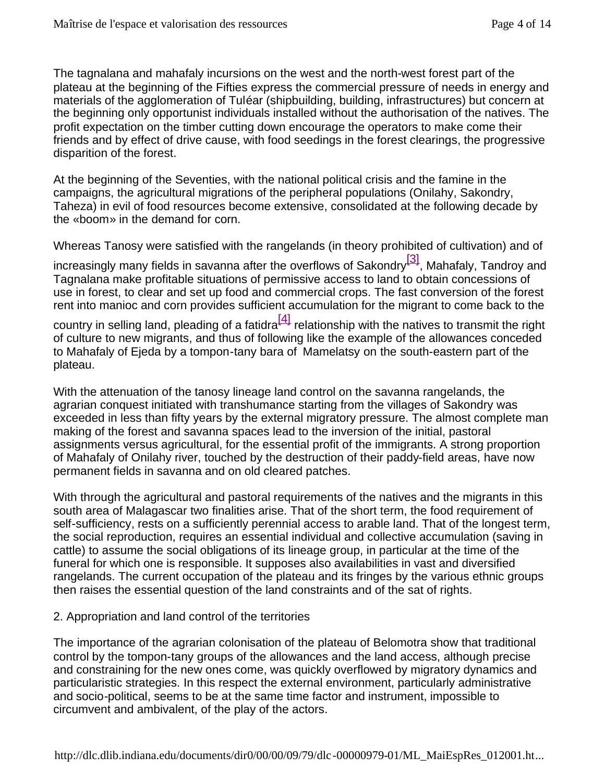The tagnalana and mahafaly incursions on the west and the north-west forest part of the plateau at the beginning of the Fifties express the commercial pressure of needs in energy and materials of the agglomeration of Tuléar (shipbuilding, building, infrastructures) but concern at the beginning only opportunist individuals installed without the authorisation of the natives. The profit expectation on the timber cutting down encourage the operators to make come their friends and by effect of drive cause, with food seedings in the forest clearings, the progressive disparition of the forest.

At the beginning of the Seventies, with the national political crisis and the famine in the campaigns, the agricultural migrations of the peripheral populations (Onilahy, Sakondry, Taheza) in evil of food resources become extensive, consolidated at the following decade by the «boom» in the demand for corn.

Whereas Tanosy were satisfied with the rangelands (in theory prohibited of cultivation) and of

increasingly many fields in savanna after the overflows of Sakondry<sup>[3]</sup>, Mahafaly, Tandroy and Tagnalana make profitable situations of permissive access to land to obtain concessions of use in forest, to clear and set up food and commercial crops. The fast conversion of the forest rent into manioc and corn provides sufficient accumulation for the migrant to come back to the

country in selling land, pleading of a fatidra $\frac{[4]}{[4]}$  relationship with the natives to transmit the right of culture to new migrants, and thus of following like the example of the allowances conceded to Mahafaly of Ejeda by a tompon-tany bara of Mamelatsy on the south-eastern part of the plateau.

With the attenuation of the tanosy lineage land control on the savanna rangelands, the agrarian conquest initiated with transhumance starting from the villages of Sakondry was exceeded in less than fifty years by the external migratory pressure. The almost complete man making of the forest and savanna spaces lead to the inversion of the initial, pastoral assignments versus agricultural, for the essential profit of the immigrants. A strong proportion of Mahafaly of Onilahy river, touched by the destruction of their paddy-field areas, have now permanent fields in savanna and on old cleared patches.

With through the agricultural and pastoral requirements of the natives and the migrants in this south area of Malagascar two finalities arise. That of the short term, the food requirement of self-sufficiency, rests on a sufficiently perennial access to arable land. That of the longest term, the social reproduction, requires an essential individual and collective accumulation (saving in cattle) to assume the social obligations of its lineage group, in particular at the time of the funeral for which one is responsible. It supposes also availabilities in vast and diversified rangelands. The current occupation of the plateau and its fringes by the various ethnic groups then raises the essential question of the land constraints and of the sat of rights.

### 2. Appropriation and land control of the territories

The importance of the agrarian colonisation of the plateau of Belomotra show that traditional control by the tompon-tany groups of the allowances and the land access, although precise and constraining for the new ones come, was quickly overflowed by migratory dynamics and particularistic strategies. In this respect the external environment, particularly administrative and socio-political, seems to be at the same time factor and instrument, impossible to circumvent and ambivalent, of the play of the actors.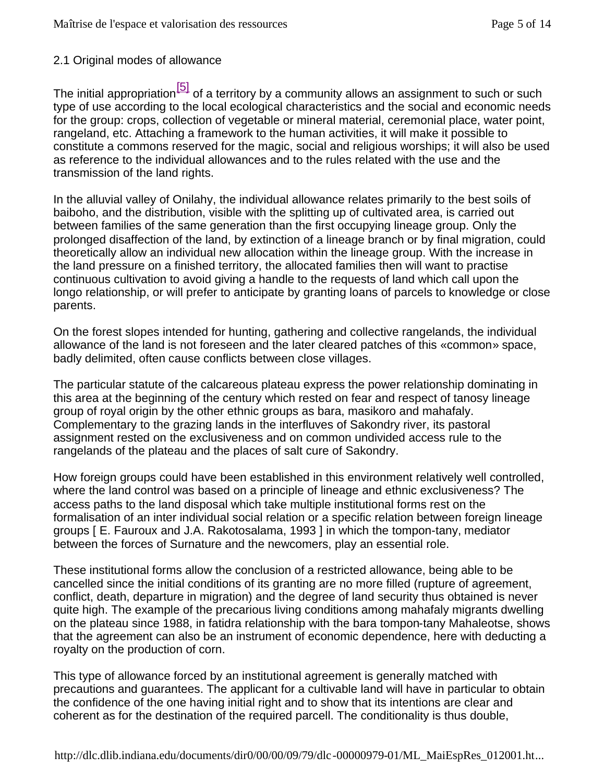## 2.1 Original modes of allowance

The initial appropriation<sup>[5]</sup> of a territory by a community allows an assignment to such or such type of use according to the local ecological characteristics and the social and economic needs for the group: crops, collection of vegetable or mineral material, ceremonial place, water point, rangeland, etc. Attaching a framework to the human activities, it will make it possible to constitute a commons reserved for the magic, social and religious worships; it will also be used as reference to the individual allowances and to the rules related with the use and the transmission of the land rights.

In the alluvial valley of Onilahy, the individual allowance relates primarily to the best soils of baiboho, and the distribution, visible with the splitting up of cultivated area, is carried out between families of the same generation than the first occupying lineage group. Only the prolonged disaffection of the land, by extinction of a lineage branch or by final migration, could theoretically allow an individual new allocation within the lineage group. With the increase in the land pressure on a finished territory, the allocated families then will want to practise continuous cultivation to avoid giving a handle to the requests of land which call upon the longo relationship, or will prefer to anticipate by granting loans of parcels to knowledge or close parents.

On the forest slopes intended for hunting, gathering and collective rangelands, the individual allowance of the land is not foreseen and the later cleared patches of this «common» space, badly delimited, often cause conflicts between close villages.

The particular statute of the calcareous plateau express the power relationship dominating in this area at the beginning of the century which rested on fear and respect of tanosy lineage group of royal origin by the other ethnic groups as bara, masikoro and mahafaly. Complementary to the grazing lands in the interfluves of Sakondry river, its pastoral assignment rested on the exclusiveness and on common undivided access rule to the rangelands of the plateau and the places of salt cure of Sakondry.

How foreign groups could have been established in this environment relatively well controlled, where the land control was based on a principle of lineage and ethnic exclusiveness? The access paths to the land disposal which take multiple institutional forms rest on the formalisation of an inter individual social relation or a specific relation between foreign lineage groups [ E. Fauroux and J.A. Rakotosalama, 1993 ] in which the tompon-tany, mediator between the forces of Surnature and the newcomers, play an essential role.

These institutional forms allow the conclusion of a restricted allowance, being able to be cancelled since the initial conditions of its granting are no more filled (rupture of agreement, conflict, death, departure in migration) and the degree of land security thus obtained is never quite high. The example of the precarious living conditions among mahafaly migrants dwelling on the plateau since 1988, in fatidra relationship with the bara tompon-tany Mahaleotse, shows that the agreement can also be an instrument of economic dependence, here with deducting a royalty on the production of corn.

This type of allowance forced by an institutional agreement is generally matched with precautions and guarantees. The applicant for a cultivable land will have in particular to obtain the confidence of the one having initial right and to show that its intentions are clear and coherent as for the destination of the required parcell. The conditionality is thus double,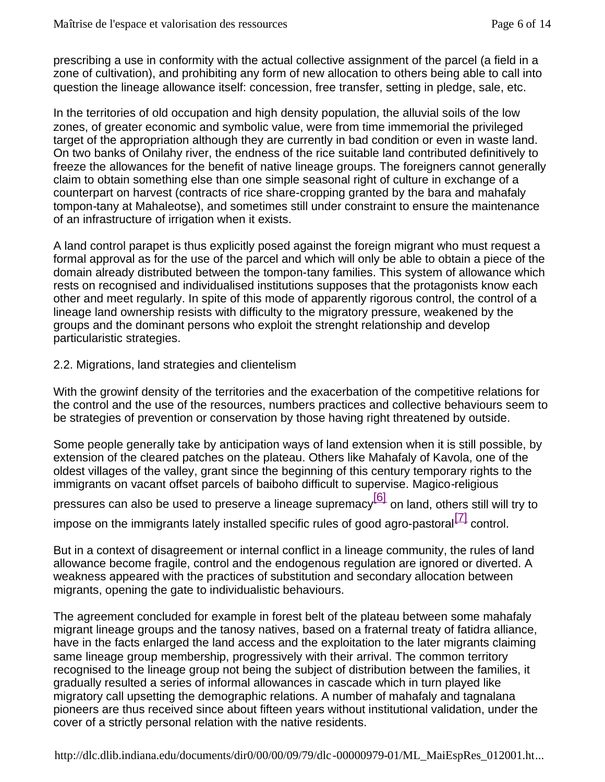prescribing a use in conformity with the actual collective assignment of the parcel (a field in a zone of cultivation), and prohibiting any form of new allocation to others being able to call into question the lineage allowance itself: concession, free transfer, setting in pledge, sale, etc.

In the territories of old occupation and high density population, the alluvial soils of the low zones, of greater economic and symbolic value, were from time immemorial the privileged target of the appropriation although they are currently in bad condition or even in waste land. On two banks of Onilahy river, the endness of the rice suitable land contributed definitively to freeze the allowances for the benefit of native lineage groups. The foreigners cannot generally claim to obtain something else than one simple seasonal right of culture in exchange of a counterpart on harvest (contracts of rice share-cropping granted by the bara and mahafaly tompon-tany at Mahaleotse), and sometimes still under constraint to ensure the maintenance of an infrastructure of irrigation when it exists.

A land control parapet is thus explicitly posed against the foreign migrant who must request a formal approval as for the use of the parcel and which will only be able to obtain a piece of the domain already distributed between the tompon-tany families. This system of allowance which rests on recognised and individualised institutions supposes that the protagonists know each other and meet regularly. In spite of this mode of apparently rigorous control, the control of a lineage land ownership resists with difficulty to the migratory pressure, weakened by the groups and the dominant persons who exploit the strenght relationship and develop particularistic strategies.

## 2.2. Migrations, land strategies and clientelism

With the growinf density of the territories and the exacerbation of the competitive relations for the control and the use of the resources, numbers practices and collective behaviours seem to be strategies of prevention or conservation by those having right threatened by outside.

Some people generally take by anticipation ways of land extension when it is still possible, by extension of the cleared patches on the plateau. Others like Mahafaly of Kavola, one of the oldest villages of the valley, grant since the beginning of this century temporary rights to the immigrants on vacant offset parcels of baiboho difficult to supervise. Magico-religious

pressures can also be used to preserve a lineage supremacy<sup>[6]</sup> on land, others still will try to impose on the immigrants lately installed specific rules of good agro-pastoral $\begin{bmatrix} 7 \end{bmatrix}$  control.

But in a context of disagreement or internal conflict in a lineage community, the rules of land allowance become fragile, control and the endogenous regulation are ignored or diverted. A weakness appeared with the practices of substitution and secondary allocation between migrants, opening the gate to individualistic behaviours.

The agreement concluded for example in forest belt of the plateau between some mahafaly migrant lineage groups and the tanosy natives, based on a fraternal treaty of fatidra alliance, have in the facts enlarged the land access and the exploitation to the later migrants claiming same lineage group membership, progressively with their arrival. The common territory recognised to the lineage group not being the subject of distribution between the families, it gradually resulted a series of informal allowances in cascade which in turn played like migratory call upsetting the demographic relations. A number of mahafaly and tagnalana pioneers are thus received since about fifteen years without institutional validation, under the cover of a strictly personal relation with the native residents.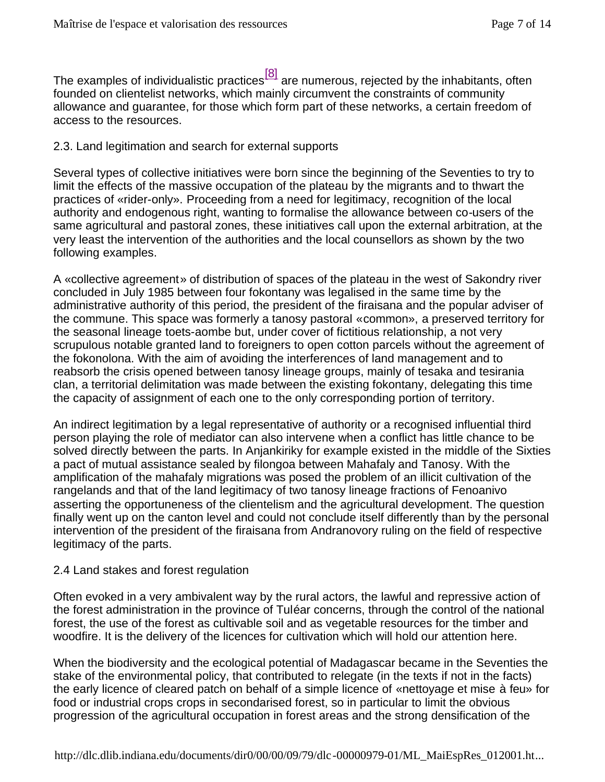The examples of individualistic practices  $\frac{[8]}{[8]}$  are numerous, rejected by the inhabitants, often founded on clientelist networks, which mainly circumvent the constraints of community allowance and guarantee, for those which form part of these networks, a certain freedom of access to the resources.

## 2.3. Land legitimation and search for external supports

Several types of collective initiatives were born since the beginning of the Seventies to try to limit the effects of the massive occupation of the plateau by the migrants and to thwart the practices of «rider-only». Proceeding from a need for legitimacy, recognition of the local authority and endogenous right, wanting to formalise the allowance between co-users of the same agricultural and pastoral zones, these initiatives call upon the external arbitration, at the very least the intervention of the authorities and the local counsellors as shown by the two following examples.

A «collective agreement» of distribution of spaces of the plateau in the west of Sakondry river concluded in July 1985 between four fokontany was legalised in the same time by the administrative authority of this period, the president of the firaisana and the popular adviser of the commune. This space was formerly a tanosy pastoral «common», a preserved territory for the seasonal lineage toets-aombe but, under cover of fictitious relationship, a not very scrupulous notable granted land to foreigners to open cotton parcels without the agreement of the fokonolona. With the aim of avoiding the interferences of land management and to reabsorb the crisis opened between tanosy lineage groups, mainly of tesaka and tesirania clan, a territorial delimitation was made between the existing fokontany, delegating this time the capacity of assignment of each one to the only corresponding portion of territory.

An indirect legitimation by a legal representative of authority or a recognised influential third person playing the role of mediator can also intervene when a conflict has little chance to be solved directly between the parts. In Anjankiriky for example existed in the middle of the Sixties a pact of mutual assistance sealed by filongoa between Mahafaly and Tanosy. With the amplification of the mahafaly migrations was posed the problem of an illicit cultivation of the rangelands and that of the land legitimacy of two tanosy lineage fractions of Fenoanivo asserting the opportuneness of the clientelism and the agricultural development. The question finally went up on the canton level and could not conclude itself differently than by the personal intervention of the president of the firaisana from Andranovory ruling on the field of respective legitimacy of the parts.

### 2.4 Land stakes and forest regulation

Often evoked in a very ambivalent way by the rural actors, the lawful and repressive action of the forest administration in the province of Tuléar concerns, through the control of the national forest, the use of the forest as cultivable soil and as vegetable resources for the timber and woodfire. It is the delivery of the licences for cultivation which will hold our attention here.

When the biodiversity and the ecological potential of Madagascar became in the Seventies the stake of the environmental policy, that contributed to relegate (in the texts if not in the facts) the early licence of cleared patch on behalf of a simple licence of «nettoyage et mise à feu» for food or industrial crops crops in secondarised forest, so in particular to limit the obvious progression of the agricultural occupation in forest areas and the strong densification of the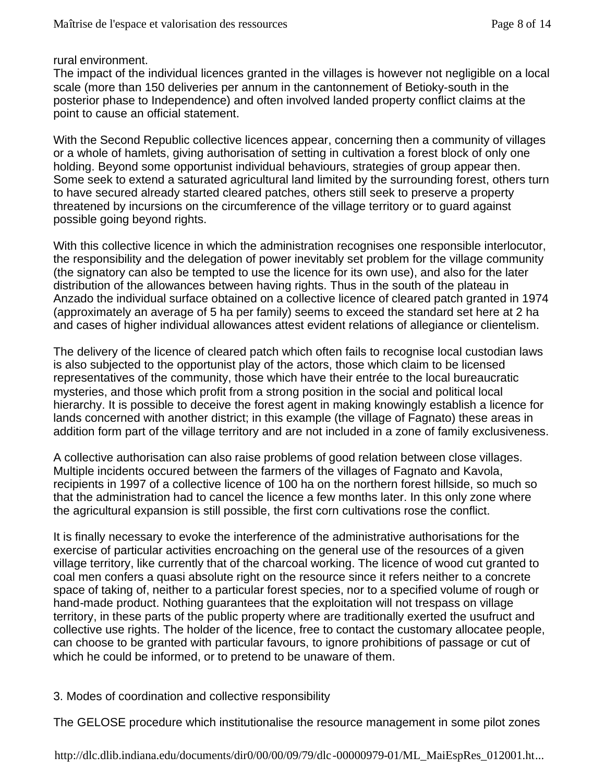rural environment.

The impact of the individual licences granted in the villages is however not negligible on a local scale (more than 150 deliveries per annum in the cantonnement of Betioky-south in the posterior phase to Independence) and often involved landed property conflict claims at the point to cause an official statement.

With the Second Republic collective licences appear, concerning then a community of villages or a whole of hamlets, giving authorisation of setting in cultivation a forest block of only one holding. Beyond some opportunist individual behaviours, strategies of group appear then. Some seek to extend a saturated agricultural land limited by the surrounding forest, others turn to have secured already started cleared patches, others still seek to preserve a property threatened by incursions on the circumference of the village territory or to guard against possible going beyond rights.

With this collective licence in which the administration recognises one responsible interlocutor, the responsibility and the delegation of power inevitably set problem for the village community (the signatory can also be tempted to use the licence for its own use), and also for the later distribution of the allowances between having rights. Thus in the south of the plateau in Anzado the individual surface obtained on a collective licence of cleared patch granted in 1974 (approximately an average of 5 ha per family) seems to exceed the standard set here at 2 ha and cases of higher individual allowances attest evident relations of allegiance or clientelism.

The delivery of the licence of cleared patch which often fails to recognise local custodian laws is also subjected to the opportunist play of the actors, those which claim to be licensed representatives of the community, those which have their entrée to the local bureaucratic mysteries, and those which profit from a strong position in the social and political local hierarchy. It is possible to deceive the forest agent in making knowingly establish a licence for lands concerned with another district; in this example (the village of Fagnato) these areas in addition form part of the village territory and are not included in a zone of family exclusiveness.

A collective authorisation can also raise problems of good relation between close villages. Multiple incidents occured between the farmers of the villages of Fagnato and Kavola, recipients in 1997 of a collective licence of 100 ha on the northern forest hillside, so much so that the administration had to cancel the licence a few months later. In this only zone where the agricultural expansion is still possible, the first corn cultivations rose the conflict.

It is finally necessary to evoke the interference of the administrative authorisations for the exercise of particular activities encroaching on the general use of the resources of a given village territory, like currently that of the charcoal working. The licence of wood cut granted to coal men confers a quasi absolute right on the resource since it refers neither to a concrete space of taking of, neither to a particular forest species, nor to a specified volume of rough or hand-made product. Nothing guarantees that the exploitation will not trespass on village territory, in these parts of the public property where are traditionally exerted the usufruct and collective use rights. The holder of the licence, free to contact the customary allocatee people, can choose to be granted with particular favours, to ignore prohibitions of passage or cut of which he could be informed, or to pretend to be unaware of them.

# 3. Modes of coordination and collective responsibility

The GELOSE procedure which institutionalise the resource management in some pilot zones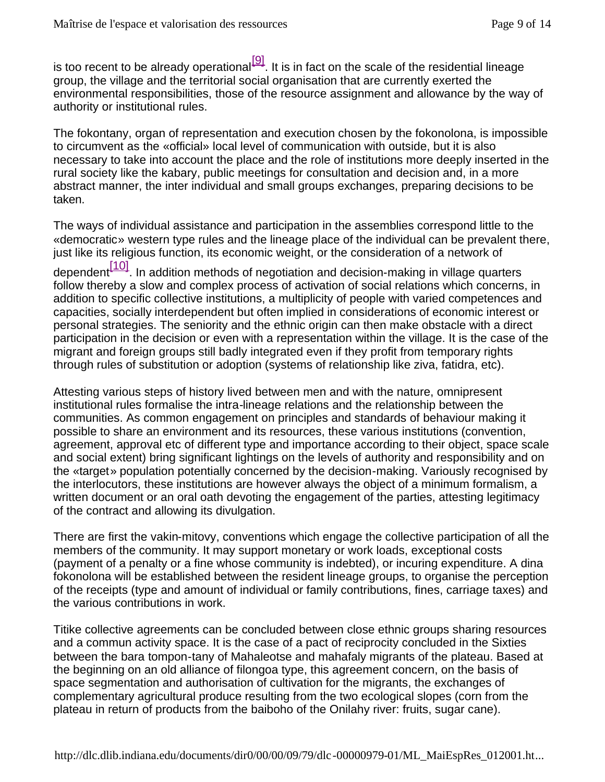is too recent to be already operational $\boxed{9}$ . It is in fact on the scale of the residential lineage group, the village and the territorial social organisation that are currently exerted the environmental responsibilities, those of the resource assignment and allowance by the way of authority or institutional rules.

The fokontany, organ of representation and execution chosen by the fokonolona, is impossible to circumvent as the «official» local level of communication with outside, but it is also necessary to take into account the place and the role of institutions more deeply inserted in the rural society like the kabary, public meetings for consultation and decision and, in a more abstract manner, the inter individual and small groups exchanges, preparing decisions to be taken.

The ways of individual assistance and participation in the assemblies correspond little to the «democratic» western type rules and the lineage place of the individual can be prevalent there, just like its religious function, its economic weight, or the consideration of a network of dependent  $\frac{110}{1}$ . In addition methods of negotiation and decision-making in village quarters follow thereby a slow and complex process of activation of social relations which concerns, in addition to specific collective institutions, a multiplicity of people with varied competences and capacities, socially interdependent but often implied in considerations of economic interest or personal strategies. The seniority and the ethnic origin can then make obstacle with a direct participation in the decision or even with a representation within the village. It is the case of the migrant and foreign groups still badly integrated even if they profit from temporary rights through rules of substitution or adoption (systems of relationship like ziva, fatidra, etc).

Attesting various steps of history lived between men and with the nature, omnipresent institutional rules formalise the intra-lineage relations and the relationship between the communities. As common engagement on principles and standards of behaviour making it possible to share an environment and its resources, these various institutions (convention, agreement, approval etc of different type and importance according to their object, space scale and social extent) bring significant lightings on the levels of authority and responsibility and on the «target» population potentially concerned by the decision-making. Variously recognised by the interlocutors, these institutions are however always the object of a minimum formalism, a written document or an oral oath devoting the engagement of the parties, attesting legitimacy of the contract and allowing its divulgation.

There are first the vakin-mitovy, conventions which engage the collective participation of all the members of the community. It may support monetary or work loads, exceptional costs (payment of a penalty or a fine whose community is indebted), or incuring expenditure. A dina fokonolona will be established between the resident lineage groups, to organise the perception of the receipts (type and amount of individual or family contributions, fines, carriage taxes) and the various contributions in work.

Titike collective agreements can be concluded between close ethnic groups sharing resources and a commun activity space. It is the case of a pact of reciprocity concluded in the Sixties between the bara tompon-tany of Mahaleotse and mahafaly migrants of the plateau. Based at the beginning on an old alliance of filongoa type, this agreement concern, on the basis of space segmentation and authorisation of cultivation for the migrants, the exchanges of complementary agricultural produce resulting from the two ecological slopes (corn from the plateau in return of products from the baiboho of the Onilahy river: fruits, sugar cane).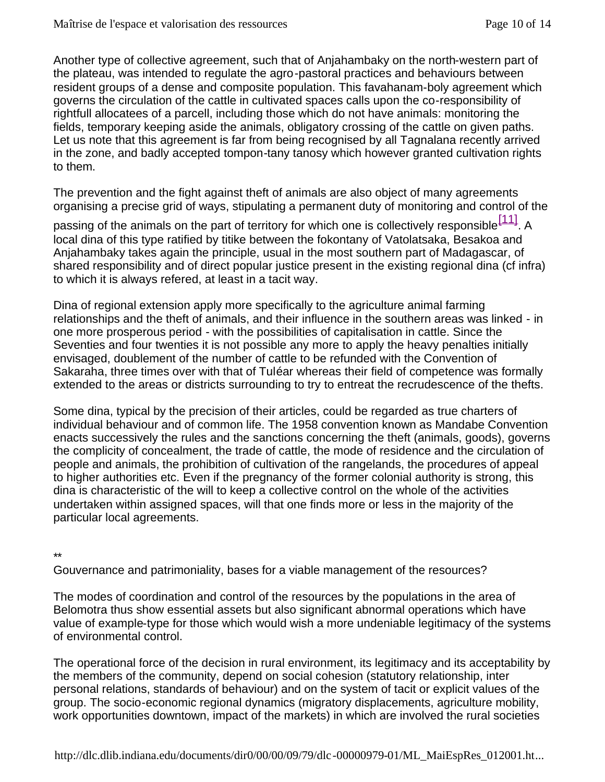Another type of collective agreement, such that of Anjahambaky on the north-western part of the plateau, was intended to regulate the agro-pastoral practices and behaviours between resident groups of a dense and composite population. This favahanam-boly agreement which governs the circulation of the cattle in cultivated spaces calls upon the co-responsibility of rightfull allocatees of a parcell, including those which do not have animals: monitoring the fields, temporary keeping aside the animals, obligatory crossing of the cattle on given paths. Let us note that this agreement is far from being recognised by all Tagnalana recently arrived in the zone, and badly accepted tompon-tany tanosy which however granted cultivation rights to them.

The prevention and the fight against theft of animals are also object of many agreements organising a precise grid of ways, stipulating a permanent duty of monitoring and control of the

passing of the animals on the part of territory for which one is collectively responsible  $\left[11\right]$ . A local dina of this type ratified by titike between the fokontany of Vatolatsaka, Besakoa and Anjahambaky takes again the principle, usual in the most southern part of Madagascar, of shared responsibility and of direct popular justice present in the existing regional dina (cf infra) to which it is always refered, at least in a tacit way.

Dina of regional extension apply more specifically to the agriculture animal farming relationships and the theft of animals, and their influence in the southern areas was linked - in one more prosperous period - with the possibilities of capitalisation in cattle. Since the Seventies and four twenties it is not possible any more to apply the heavy penalties initially envisaged, doublement of the number of cattle to be refunded with the Convention of Sakaraha, three times over with that of Tuléar whereas their field of competence was formally extended to the areas or districts surrounding to try to entreat the recrudescence of the thefts.

Some dina, typical by the precision of their articles, could be regarded as true charters of individual behaviour and of common life. The 1958 convention known as Mandabe Convention enacts successively the rules and the sanctions concerning the theft (animals, goods), governs the complicity of concealment, the trade of cattle, the mode of residence and the circulation of people and animals, the prohibition of cultivation of the rangelands, the procedures of appeal to higher authorities etc. Even if the pregnancy of the former colonial authority is strong, this dina is characteristic of the will to keep a collective control on the whole of the activities undertaken within assigned spaces, will that one finds more or less in the majority of the particular local agreements.

\*\*

Gouvernance and patrimoniality, bases for a viable management of the resources?

The modes of coordination and control of the resources by the populations in the area of Belomotra thus show essential assets but also significant abnormal operations which have value of example-type for those which would wish a more undeniable legitimacy of the systems of environmental control.

The operational force of the decision in rural environment, its legitimacy and its acceptability by the members of the community, depend on social cohesion (statutory relationship, inter personal relations, standards of behaviour) and on the system of tacit or explicit values of the group. The socio-economic regional dynamics (migratory displacements, agriculture mobility, work opportunities downtown, impact of the markets) in which are involved the rural societies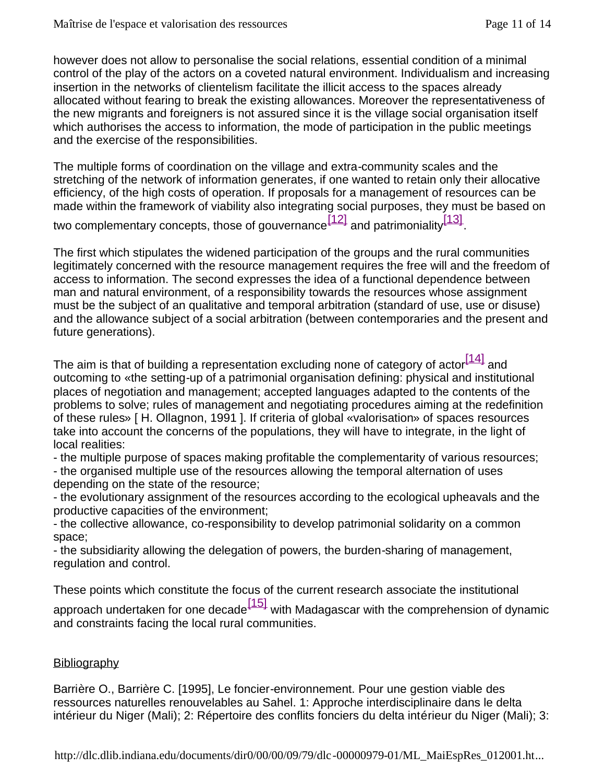however does not allow to personalise the social relations, essential condition of a minimal control of the play of the actors on a coveted natural environment. Individualism and increasing insertion in the networks of clientelism facilitate the illicit access to the spaces already allocated without fearing to break the existing allowances. Moreover the representativeness of the new migrants and foreigners is not assured since it is the village social organisation itself which authorises the access to information, the mode of participation in the public meetings and the exercise of the responsibilities.

The multiple forms of coordination on the village and extra-community scales and the stretching of the network of information generates, if one wanted to retain only their allocative efficiency, of the high costs of operation. If proposals for a management of resources can be made within the framework of viability also integrating social purposes, they must be based on

two complementary concepts, those of gouvernance<sup>[12]</sup> and patrimoniality<sup>[13]</sup>.

The first which stipulates the widened participation of the groups and the rural communities legitimately concerned with the resource management requires the free will and the freedom of access to information. The second expresses the idea of a functional dependence between man and natural environment, of a responsibility towards the resources whose assignment must be the subject of an qualitative and temporal arbitration (standard of use, use or disuse) and the allowance subject of a social arbitration (between contemporaries and the present and future generations).

The aim is that of building a representation excluding none of category of actor $\frac{[14]}{[14]}$  and outcoming to «the setting-up of a patrimonial organisation defining: physical and institutional places of negotiation and management; accepted languages adapted to the contents of the problems to solve; rules of management and negotiating procedures aiming at the redefinition of these rules» [ H. Ollagnon, 1991 ]. If criteria of global «valorisation» of spaces resources take into account the concerns of the populations, they will have to integrate, in the light of local realities:

- the multiple purpose of spaces making profitable the complementarity of various resources;

- the organised multiple use of the resources allowing the temporal alternation of uses depending on the state of the resource;

- the evolutionary assignment of the resources according to the ecological upheavals and the productive capacities of the environment;

- the collective allowance, co-responsibility to develop patrimonial solidarity on a common space;

- the subsidiarity allowing the delegation of powers, the burden-sharing of management, regulation and control.

These points which constitute the focus of the current research associate the institutional

approach undertaken for one decade  $\left[15\right]$  with Madagascar with the comprehension of dynamic and constraints facing the local rural communities.

# **Bibliography**

Barrière O., Barrière C. [1995], Le foncier-environnement. Pour une gestion viable des ressources naturelles renouvelables au Sahel. 1: Approche interdisciplinaire dans le delta intérieur du Niger (Mali); 2: Répertoire des conflits fonciers du delta intérieur du Niger (Mali); 3: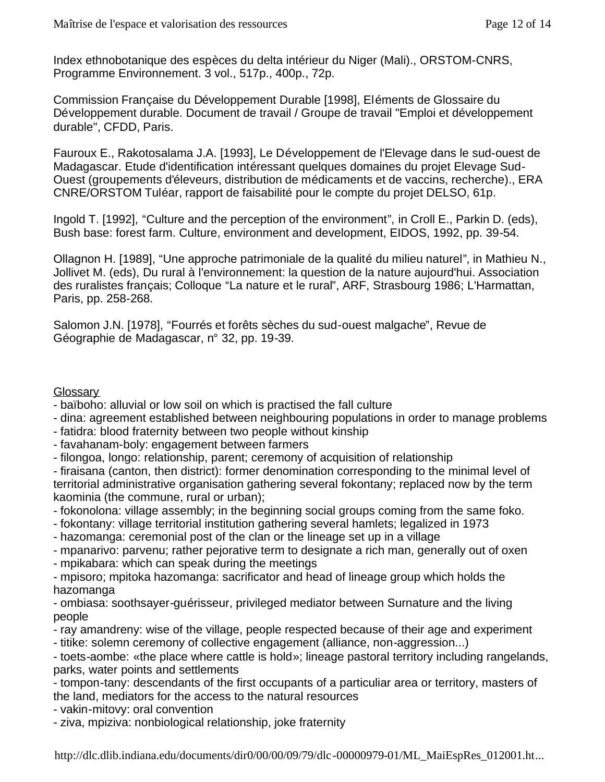Index ethnobotanique des espèces du delta intérieur du Niger (Mali)., ORSTOM-CNRS, Programme Environnement. 3 vol., 517p., 400p., 72p.

Commission Française du Développement Durable [1998], Eléments de Glossaire du Développement durable. Document de travail / Groupe de travail "Emploi et développement durable", CFDD, Paris.

Fauroux E., Rakotosalama J.A. [1993], Le Développement de l'Elevage dans le sud-ouest de Madagascar. Etude d'identification intéressant quelques domaines du projet Elevage Sud-Ouest (groupements d'éleveurs, distribution de médicaments et de vaccins, recherche)., ERA CNRE/ORSTOM Tuléar, rapport de faisabilité pour le compte du projet DELSO, 61p.

Ingold T. [1992], "Culture and the perception of the environment", in Croll E., Parkin D. (eds), Bush base: forest farm. Culture, environment and development, EIDOS, 1992, pp. 39-54.

Ollagnon H. [1989], "Une approche patrimoniale de la qualité du milieu naturel", in Mathieu N., Jollivet M. (eds), Du rural à l'environnement: la question de la nature aujourd'hui. Association des ruralistes français; Colloque "La nature et le rural", ARF, Strasbourg 1986; L'Harmattan, Paris, pp. 258-268.

Salomon J.N. [1978], "Fourrés et forêts sèches du sud-ouest malgache", Revue de Géographie de Madagascar, n° 32, pp. 19-39.

## **Glossary**

- baïboho: alluvial or low soil on which is practised the fall culture
- dina: agreement established between neighbouring populations in order to manage problems
- fatidra: blood fraternity between two people without kinship
- favahanam-boly: engagement between farmers
- filongoa, longo: relationship, parent; ceremony of acquisition of relationship

- firaisana (canton, then district): former denomination corresponding to the minimal level of territorial administrative organisation gathering several fokontany; replaced now by the term kaominia (the commune, rural or urban);

- fokonolona: village assembly; in the beginning social groups coming from the same foko.

- fokontany: village territorial institution gathering several hamlets; legalized in 1973

- hazomanga: ceremonial post of the clan or the lineage set up in a village

- mpanarivo: parvenu; rather pejorative term to designate a rich man, generally out of oxen

- mpikabara: which can speak during the meetings

- mpisoro; mpitoka hazomanga: sacrificator and head of lineage group which holds the hazomanga

- ombiasa: soothsayer-guérisseur, privileged mediator between Surnature and the living people

- ray amandreny: wise of the village, people respected because of their age and experiment

- titike: solemn ceremony of collective engagement (alliance, non-aggression...)

- toets-aombe: «the place where cattle is hold»; lineage pastoral territory including rangelands, parks, water points and settlements

- tompon-tany: descendants of the first occupants of a particuliar area or territory, masters of the land, mediators for the access to the natural resources

- vakin-mitovy: oral convention

- ziva, mpiziva: nonbiological relationship, joke fraternity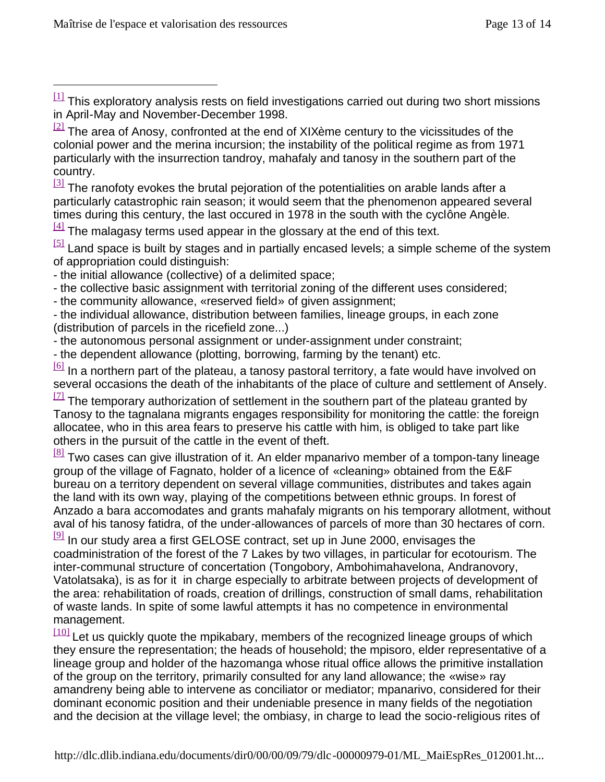$\frac{31}{131}$  The ranofoty evokes the brutal pejoration of the potentialities on arable lands after a particularly catastrophic rain season; it would seem that the phenomenon appeared several times during this century, the last occured in 1978 in the south with the cyclône Angèle.

 $\frac{[4]}{[4]}$  The malagasy terms used appear in the glossary at the end of this text.

<sup>[5]</sup> Land space is built by stages and in partially encased levels; a simple scheme of the system of appropriation could distinguish:

- the initial allowance (collective) of a delimited space;

- the collective basic assignment with territorial zoning of the different uses considered;

- the community allowance, «reserved field» of given assignment;

- the individual allowance, distribution between families, lineage groups, in each zone (distribution of parcels in the ricefield zone...)

- the autonomous personal assignment or under-assignment under constraint;

- the dependent allowance (plotting, borrowing, farming by the tenant) etc.

 $\frac{6}{10}$  In a northern part of the plateau, a tanosy pastoral territory, a fate would have involved on several occasions the death of the inhabitants of the place of culture and settlement of Ansely.

 $171$  The temporary authorization of settlement in the southern part of the plateau granted by Tanosy to the tagnalana migrants engages responsibility for monitoring the cattle: the foreign allocatee, who in this area fears to preserve his cattle with him, is obliged to take part like others in the pursuit of the cattle in the event of theft.

 $181$  Two cases can give illustration of it. An elder mpanarivo member of a tompon-tany lineage group of the village of Fagnato, holder of a licence of «cleaning» obtained from the E&F bureau on a territory dependent on several village communities, distributes and takes again the land with its own way, playing of the competitions between ethnic groups. In forest of Anzado a bara accomodates and grants mahafaly migrants on his temporary allotment, without aval of his tanosy fatidra, of the under-allowances of parcels of more than 30 hectares of corn.

 $191$  In our study area a first GELOSE contract, set up in June 2000, envisages the coadministration of the forest of the 7 Lakes by two villages, in particular for ecotourism. The inter-communal structure of concertation (Tongobory, Ambohimahavelona, Andranovory, Vatolatsaka), is as for it in charge especially to arbitrate between projects of development of the area: rehabilitation of roads, creation of drillings, construction of small dams, rehabilitation of waste lands. In spite of some lawful attempts it has no competence in environmental management.

 $[10]$  Let us quickly quote the mpikabary, members of the recognized lineage groups of which they ensure the representation; the heads of household; the mpisoro, elder representative of a lineage group and holder of the hazomanga whose ritual office allows the primitive installation of the group on the territory, primarily consulted for any land allowance; the «wise» ray amandreny being able to intervene as conciliator or mediator; mpanarivo, considered for their dominant economic position and their undeniable presence in many fields of the negotiation and the decision at the village level; the ombiasy, in charge to lead the socio-religious rites of

 $11$  This exploratory analysis rests on field investigations carried out during two short missions in April-May and November-December 1998.

 $[2]$  The area of Anosy, confronted at the end of XIXème century to the vicissitudes of the colonial power and the merina incursion; the instability of the political regime as from 1971 particularly with the insurrection tandroy, mahafaly and tanosy in the southern part of the country.